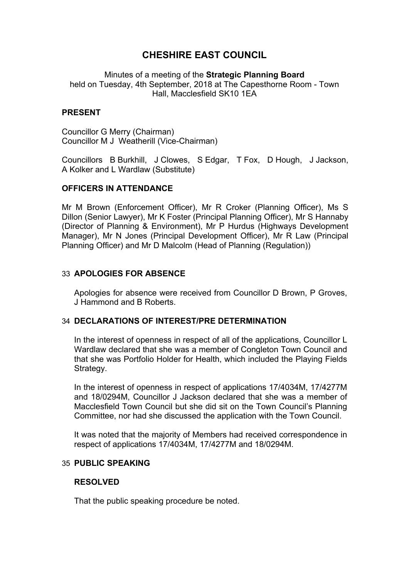# **CHESHIRE EAST COUNCIL**

Minutes of a meeting of the **Strategic Planning Board** held on Tuesday, 4th September, 2018 at The Capesthorne Room - Town Hall, Macclesfield SK10 1EA

### **PRESENT**

Councillor G Merry (Chairman) Councillor M J Weatherill (Vice-Chairman)

Councillors B Burkhill, J Clowes, S Edgar, T Fox, D Hough, J Jackson, A Kolker and L Wardlaw (Substitute)

### **OFFICERS IN ATTENDANCE**

Mr M Brown (Enforcement Officer), Mr R Croker (Planning Officer), Ms S Dillon (Senior Lawyer), Mr K Foster (Principal Planning Officer), Mr S Hannaby (Director of Planning & Environment), Mr P Hurdus (Highways Development Manager), Mr N Jones (Principal Development Officer), Mr R Law (Principal Planning Officer) and Mr D Malcolm (Head of Planning (Regulation))

### 33 **APOLOGIES FOR ABSENCE**

Apologies for absence were received from Councillor D Brown, P Groves, J Hammond and B Roberts.

#### 34 **DECLARATIONS OF INTEREST/PRE DETERMINATION**

In the interest of openness in respect of all of the applications, Councillor L Wardlaw declared that she was a member of Congleton Town Council and that she was Portfolio Holder for Health, which included the Playing Fields Strategy.

In the interest of openness in respect of applications 17/4034M, 17/4277M and 18/0294M, Councillor J Jackson declared that she was a member of Macclesfield Town Council but she did sit on the Town Council's Planning Committee, nor had she discussed the application with the Town Council.

It was noted that the majority of Members had received correspondence in respect of applications 17/4034M, 17/4277M and 18/0294M.

### 35 **PUBLIC SPEAKING**

#### **RESOLVED**

That the public speaking procedure be noted.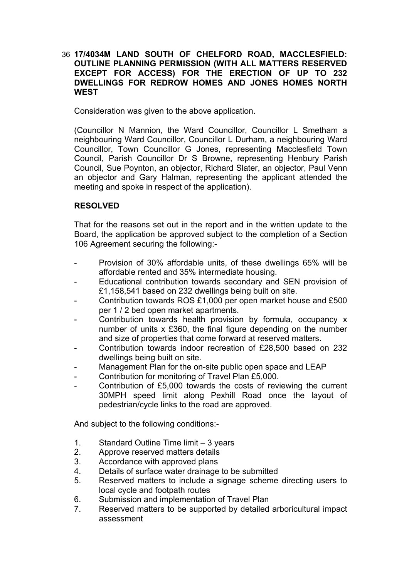### 36 **17/4034M LAND SOUTH OF CHELFORD ROAD, MACCLESFIELD: OUTLINE PLANNING PERMISSION (WITH ALL MATTERS RESERVED EXCEPT FOR ACCESS) FOR THE ERECTION OF UP TO 232 DWELLINGS FOR REDROW HOMES AND JONES HOMES NORTH WEST**

Consideration was given to the above application.

(Councillor N Mannion, the Ward Councillor, Councillor L Smetham a neighbouring Ward Councillor, Councillor L Durham, a neighbouring Ward Councillor, Town Councillor G Jones, representing Macclesfield Town Council, Parish Councillor Dr S Browne, representing Henbury Parish Council, Sue Poynton, an objector, Richard Slater, an objector, Paul Venn an objector and Gary Halman, representing the applicant attended the meeting and spoke in respect of the application).

## **RESOLVED**

That for the reasons set out in the report and in the written update to the Board, the application be approved subject to the completion of a Section 106 Agreement securing the following:-

- Provision of 30% affordable units, of these dwellings 65% will be affordable rented and 35% intermediate housing.
- Educational contribution towards secondary and SEN provision of £1,158,541 based on 232 dwellings being built on site.
- Contribution towards ROS £1,000 per open market house and £500 per 1 / 2 bed open market apartments.
- Contribution towards health provision by formula, occupancy x number of units x £360, the final figure depending on the number and size of properties that come forward at reserved matters.
- Contribution towards indoor recreation of £28,500 based on 232 dwellings being built on site.
- Management Plan for the on-site public open space and LEAP
- Contribution for monitoring of Travel Plan £5,000.
- Contribution of £5,000 towards the costs of reviewing the current 30MPH speed limit along Pexhill Road once the layout of pedestrian/cycle links to the road are approved.

- 1. Standard Outline Time limit 3 years
- 2. Approve reserved matters details
- 3. Accordance with approved plans
- 4. Details of surface water drainage to be submitted
- 5. Reserved matters to include a signage scheme directing users to local cycle and footpath routes
- 6. Submission and implementation of Travel Plan
- 7. Reserved matters to be supported by detailed arboricultural impact assessment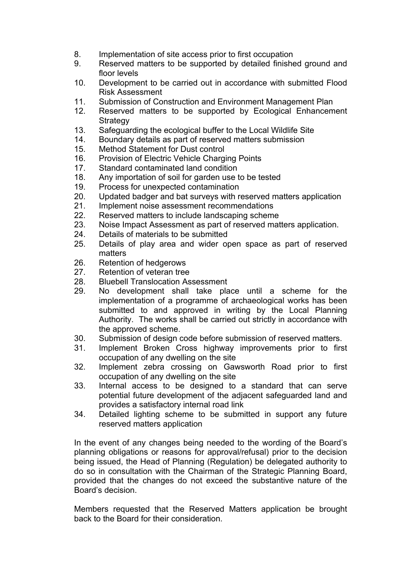- 8. Implementation of site access prior to first occupation
- 9. Reserved matters to be supported by detailed finished ground and floor levels
- 10. Development to be carried out in accordance with submitted Flood Risk Assessment
- 11. Submission of Construction and Environment Management Plan
- 12. Reserved matters to be supported by Ecological Enhancement **Strategy**
- 13. Safeguarding the ecological buffer to the Local Wildlife Site
- 14. Boundary details as part of reserved matters submission
- 15. Method Statement for Dust control
- 16. Provision of Electric Vehicle Charging Points
- 17. Standard contaminated land condition
- 18. Any importation of soil for garden use to be tested
- 19. Process for unexpected contamination
- 20. Updated badger and bat surveys with reserved matters application
- 21. Implement noise assessment recommendations
- 22. Reserved matters to include landscaping scheme
- 23. Noise Impact Assessment as part of reserved matters application.
- 24. Details of materials to be submitted
- 25. Details of play area and wider open space as part of reserved matters
- 26. Retention of hedgerows
- 27. Retention of veteran tree
- 28. Bluebell Translocation Assessment
- 29. No development shall take place until a scheme for the implementation of a programme of archaeological works has been submitted to and approved in writing by the Local Planning Authority. The works shall be carried out strictly in accordance with the approved scheme.
- 30. Submission of design code before submission of reserved matters.
- 31. Implement Broken Cross highway improvements prior to first occupation of any dwelling on the site
- 32. Implement zebra crossing on Gawsworth Road prior to first occupation of any dwelling on the site
- 33. Internal access to be designed to a standard that can serve potential future development of the adjacent safeguarded land and provides a satisfactory internal road link
- 34. Detailed lighting scheme to be submitted in support any future reserved matters application

In the event of any changes being needed to the wording of the Board's planning obligations or reasons for approval/refusal) prior to the decision being issued, the Head of Planning (Regulation) be delegated authority to do so in consultation with the Chairman of the Strategic Planning Board, provided that the changes do not exceed the substantive nature of the Board's decision.

Members requested that the Reserved Matters application be brought back to the Board for their consideration.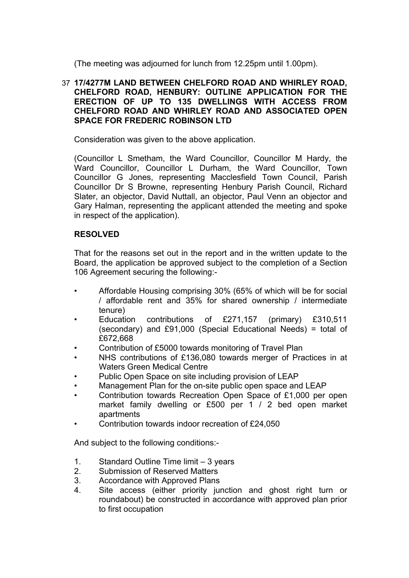(The meeting was adjourned for lunch from 12.25pm until 1.00pm).

### 37 **17/4277M LAND BETWEEN CHELFORD ROAD AND WHIRLEY ROAD, CHELFORD ROAD, HENBURY: OUTLINE APPLICATION FOR THE ERECTION OF UP TO 135 DWELLINGS WITH ACCESS FROM CHELFORD ROAD AND WHIRLEY ROAD AND ASSOCIATED OPEN SPACE FOR FREDERIC ROBINSON LTD**

Consideration was given to the above application.

(Councillor L Smetham, the Ward Councillor, Councillor M Hardy, the Ward Councillor, Councillor L Durham, the Ward Councillor, Town Councillor G Jones, representing Macclesfield Town Council, Parish Councillor Dr S Browne, representing Henbury Parish Council, Richard Slater, an objector, David Nuttall, an objector, Paul Venn an objector and Gary Halman, representing the applicant attended the meeting and spoke in respect of the application).

## **RESOLVED**

That for the reasons set out in the report and in the written update to the Board, the application be approved subject to the completion of a Section 106 Agreement securing the following:-

- Affordable Housing comprising 30% (65% of which will be for social / affordable rent and 35% for shared ownership / intermediate tenure)
- Education contributions of £271,157 (primary) £310,511 (secondary) and £91,000 (Special Educational Needs) = total of £672,668
- Contribution of £5000 towards monitoring of Travel Plan
- NHS contributions of £136,080 towards merger of Practices in at Waters Green Medical Centre
- Public Open Space on site including provision of LEAP
- Management Plan for the on-site public open space and LEAP
- Contribution towards Recreation Open Space of £1,000 per open market family dwelling or £500 per 1 / 2 bed open market apartments
- Contribution towards indoor recreation of £24,050

- 1. Standard Outline Time limit 3 years
- 2. Submission of Reserved Matters
- 3. Accordance with Approved Plans
- 4. Site access (either priority junction and ghost right turn or roundabout) be constructed in accordance with approved plan prior to first occupation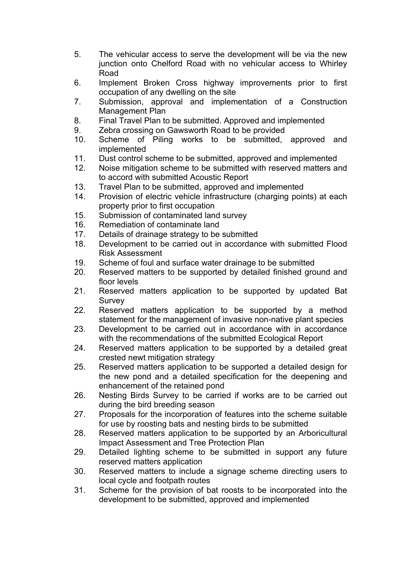- 5. The vehicular access to serve the development will be via the new junction onto Chelford Road with no vehicular access to Whirley Road
- 6. Implement Broken Cross highway improvements prior to first occupation of any dwelling on the site
- 7. Submission, approval and implementation of a Construction Management Plan
- 8. Final Travel Plan to be submitted. Approved and implemented
- 9. Zebra crossing on Gawsworth Road to be provided
- 10. Scheme of Piling works to be submitted, approved and implemented
- 11. Dust control scheme to be submitted, approved and implemented
- 12. Noise mitigation scheme to be submitted with reserved matters and to accord with submitted Acoustic Report
- 13. Travel Plan to be submitted, approved and implemented
- 14. Provision of electric vehicle infrastructure (charging points) at each property prior to first occupation
- 15. Submission of contaminated land survey
- 16. Remediation of contaminate land
- 17. Details of drainage strategy to be submitted
- 18. Development to be carried out in accordance with submitted Flood Risk Assessment
- 19. Scheme of foul and surface water drainage to be submitted
- 20. Reserved matters to be supported by detailed finished ground and floor levels
- 21. Reserved matters application to be supported by updated Bat Survey
- 22. Reserved matters application to be supported by a method statement for the management of invasive non-native plant species
- 23. Development to be carried out in accordance with in accordance with the recommendations of the submitted Ecological Report
- 24. Reserved matters application to be supported by a detailed great crested newt mitigation strategy
- 25. Reserved matters application to be supported a detailed design for the new pond and a detailed specification for the deepening and enhancement of the retained pond
- 26. Nesting Birds Survey to be carried if works are to be carried out during the bird breeding season
- 27. Proposals for the incorporation of features into the scheme suitable for use by roosting bats and nesting birds to be submitted
- 28. Reserved matters application to be supported by an Arboricultural Impact Assessment and Tree Protection Plan
- 29. Detailed lighting scheme to be submitted in support any future reserved matters application
- 30. Reserved matters to include a signage scheme directing users to local cycle and footpath routes
- 31. Scheme for the provision of bat roosts to be incorporated into the development to be submitted, approved and implemented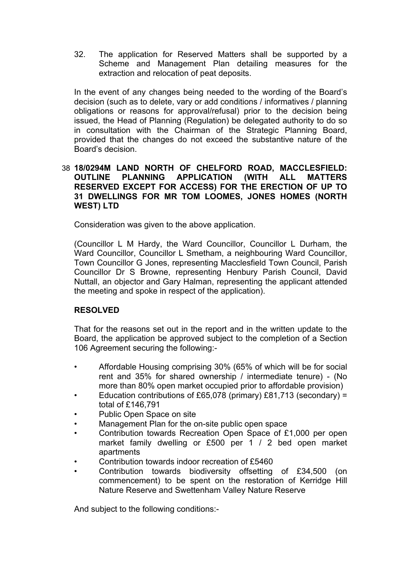32. The application for Reserved Matters shall be supported by a Scheme and Management Plan detailing measures for the extraction and relocation of peat deposits.

In the event of any changes being needed to the wording of the Board's decision (such as to delete, vary or add conditions / informatives / planning obligations or reasons for approval/refusal) prior to the decision being issued, the Head of Planning (Regulation) be delegated authority to do so in consultation with the Chairman of the Strategic Planning Board, provided that the changes do not exceed the substantive nature of the Board's decision.

### 38 **18/0294M LAND NORTH OF CHELFORD ROAD, MACCLESFIELD: OUTLINE PLANNING APPLICATION (WITH ALL MATTERS RESERVED EXCEPT FOR ACCESS) FOR THE ERECTION OF UP TO 31 DWELLINGS FOR MR TOM LOOMES, JONES HOMES (NORTH WEST) LTD**

Consideration was given to the above application.

(Councillor L M Hardy, the Ward Councillor, Councillor L Durham, the Ward Councillor, Councillor L Smetham, a neighbouring Ward Councillor, Town Councillor G Jones, representing Macclesfield Town Council, Parish Councillor Dr S Browne, representing Henbury Parish Council, David Nuttall, an objector and Gary Halman, representing the applicant attended the meeting and spoke in respect of the application).

## **RESOLVED**

That for the reasons set out in the report and in the written update to the Board, the application be approved subject to the completion of a Section 106 Agreement securing the following:-

- Affordable Housing comprising 30% (65% of which will be for social rent and 35% for shared ownership / intermediate tenure) - (No more than 80% open market occupied prior to affordable provision)
- Education contributions of £65,078 (primary) £81,713 (secondary) = total of £146,791
- Public Open Space on site
- Management Plan for the on-site public open space
- Contribution towards Recreation Open Space of £1,000 per open market family dwelling or £500 per 1 / 2 bed open market apartments
- Contribution towards indoor recreation of £5460
- Contribution towards biodiversity offsetting of £34,500 (on commencement) to be spent on the restoration of Kerridge Hill Nature Reserve and Swettenham Valley Nature Reserve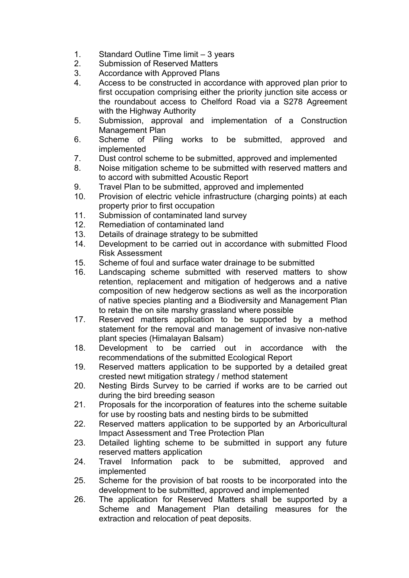- 1. Standard Outline Time limit 3 years
- 2. Submission of Reserved Matters
- 3. Accordance with Approved Plans
- 4. Access to be constructed in accordance with approved plan prior to first occupation comprising either the priority junction site access or the roundabout access to Chelford Road via a S278 Agreement with the Highway Authority
- 5. Submission, approval and implementation of a Construction Management Plan
- 6. Scheme of Piling works to be submitted, approved and implemented
- 7. Dust control scheme to be submitted, approved and implemented
- 8. Noise mitigation scheme to be submitted with reserved matters and to accord with submitted Acoustic Report
- 9. Travel Plan to be submitted, approved and implemented
- 10. Provision of electric vehicle infrastructure (charging points) at each property prior to first occupation
- 11. Submission of contaminated land survey
- 12. Remediation of contaminated land
- 13. Details of drainage strategy to be submitted
- 14. Development to be carried out in accordance with submitted Flood Risk Assessment
- 15. Scheme of foul and surface water drainage to be submitted
- 16. Landscaping scheme submitted with reserved matters to show retention, replacement and mitigation of hedgerows and a native composition of new hedgerow sections as well as the incorporation of native species planting and a Biodiversity and Management Plan to retain the on site marshy grassland where possible
- 17. Reserved matters application to be supported by a method statement for the removal and management of invasive non-native plant species (Himalayan Balsam)
- 18. Development to be carried out in accordance with the recommendations of the submitted Ecological Report
- 19. Reserved matters application to be supported by a detailed great crested newt mitigation strategy / method statement
- 20. Nesting Birds Survey to be carried if works are to be carried out during the bird breeding season
- 21. Proposals for the incorporation of features into the scheme suitable for use by roosting bats and nesting birds to be submitted
- 22. Reserved matters application to be supported by an Arboricultural Impact Assessment and Tree Protection Plan
- 23. Detailed lighting scheme to be submitted in support any future reserved matters application
- 24. Travel Information pack to be submitted, approved and implemented
- 25. Scheme for the provision of bat roosts to be incorporated into the development to be submitted, approved and implemented
- 26. The application for Reserved Matters shall be supported by a Scheme and Management Plan detailing measures for the extraction and relocation of peat deposits.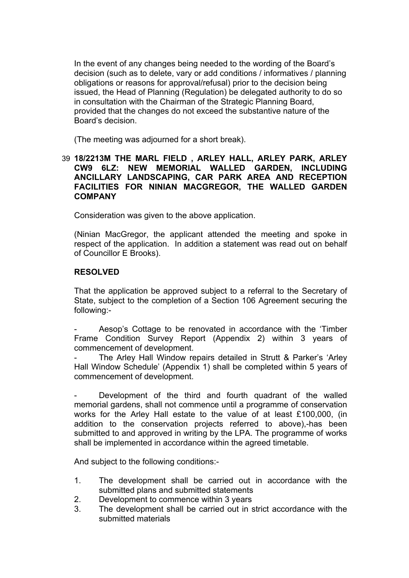In the event of any changes being needed to the wording of the Board's decision (such as to delete, vary or add conditions / informatives / planning obligations or reasons for approval/refusal) prior to the decision being issued, the Head of Planning (Regulation) be delegated authority to do so in consultation with the Chairman of the Strategic Planning Board, provided that the changes do not exceed the substantive nature of the Board's decision.

(The meeting was adjourned for a short break).

### 39 **18/2213M THE MARL FIELD , ARLEY HALL, ARLEY PARK, ARLEY CW9 6LZ: NEW MEMORIAL WALLED GARDEN, INCLUDING ANCILLARY LANDSCAPING, CAR PARK AREA AND RECEPTION FACILITIES FOR NINIAN MACGREGOR, THE WALLED GARDEN COMPANY**

Consideration was given to the above application.

(Ninian MacGregor, the applicant attended the meeting and spoke in respect of the application. In addition a statement was read out on behalf of Councillor E Brooks).

### **RESOLVED**

That the application be approved subject to a referral to the Secretary of State, subject to the completion of a Section 106 Agreement securing the following:-

Aesop's Cottage to be renovated in accordance with the 'Timber Frame Condition Survey Report (Appendix 2) within 3 years of commencement of development.

The Arley Hall Window repairs detailed in Strutt & Parker's 'Arley Hall Window Schedule' (Appendix 1) shall be completed within 5 years of commencement of development.

Development of the third and fourth quadrant of the walled memorial gardens, shall not commence until a programme of conservation works for the Arley Hall estate to the value of at least £100,000, (in addition to the conservation projects referred to above),-has been submitted to and approved in writing by the LPA. The programme of works shall be implemented in accordance within the agreed timetable.

- 1. The development shall be carried out in accordance with the submitted plans and submitted statements
- 2. Development to commence within 3 years
- 3. The development shall be carried out in strict accordance with the submitted materials